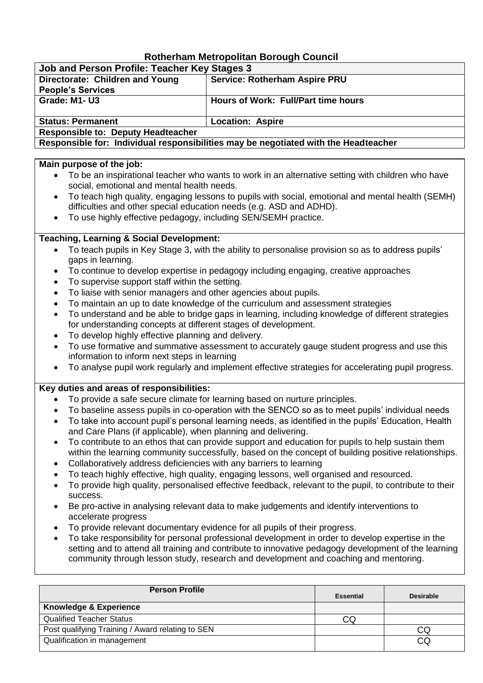# **Rotherham Metropolitan Borough Council**

| Job and Person Profile: Teacher Key Stages 3                                        |                                      |  |
|-------------------------------------------------------------------------------------|--------------------------------------|--|
| Directorate: Children and Young                                                     | <b>Service: Rotherham Aspire PRU</b> |  |
| <b>People's Services</b>                                                            |                                      |  |
| Grade: M1-U3                                                                        | Hours of Work: Full/Part time hours  |  |
|                                                                                     |                                      |  |
| <b>Status: Permanent</b>                                                            | <b>Location: Aspire</b>              |  |
| <b>Responsible to: Deputy Headteacher</b>                                           |                                      |  |
| Responsible for: Individual responsibilities may be negotiated with the Headteacher |                                      |  |

### **Main purpose of the job:**

- To be an inspirational teacher who wants to work in an alternative setting with children who have social, emotional and mental health needs.
- To teach high quality, engaging lessons to pupils with social, emotional and mental health (SEMH) difficulties and other special education needs (e.g. ASD and ADHD).
- To use highly effective pedagogy, including SEN/SEMH practice.

# **Teaching, Learning & Social Development:**

- To teach pupils in Key Stage 3, with the ability to personalise provision so as to address pupils' gaps in learning.
- To continue to develop expertise in pedagogy including engaging, creative approaches
- To supervise support staff within the setting.
- To liaise with senior managers and other agencies about pupils.
- To maintain an up to date knowledge of the curriculum and assessment strategies
- To understand and be able to bridge gaps in learning, including knowledge of different strategies for understanding concepts at different stages of development.
- To develop highly effective planning and delivery.
- To use formative and summative assessment to accurately gauge student progress and use this information to inform next steps in learning
- To analyse pupil work regularly and implement effective strategies for accelerating pupil progress.

## **Key duties and areas of responsibilities:**

- To provide a safe secure climate for learning based on nurture principles.
- To baseline assess pupils in co-operation with the SENCO so as to meet pupils' individual needs
- To take into account pupil's personal learning needs, as identified in the pupils' Education, Health and Care Plans (if applicable), when planning and delivering.
- To contribute to an ethos that can provide support and education for pupils to help sustain them within the learning community successfully, based on the concept of building positive relationships.
- Collaboratively address deficiencies with any barriers to learning
- To teach highly effective, high quality, engaging lessons, well organised and resourced.
- To provide high quality, personalised effective feedback, relevant to the pupil, to contribute to their success.
- Be pro-active in analysing relevant data to make judgements and identify interventions to accelerate progress
- To provide relevant documentary evidence for all pupils of their progress.
- To take responsibility for personal professional development in order to develop expertise in the setting and to attend all training and contribute to innovative pedagogy development of the learning community through lesson study, research and development and coaching and mentoring.

| <b>Person Profile</b>                            | <b>Essential</b> | <b>Desirable</b> |
|--------------------------------------------------|------------------|------------------|
| <b>Knowledge &amp; Experience</b>                |                  |                  |
| <b>Qualified Teacher Status</b>                  | CQ               |                  |
| Post qualifying Training / Award relating to SEN |                  | CQ               |
| Qualification in management                      |                  | CQ               |